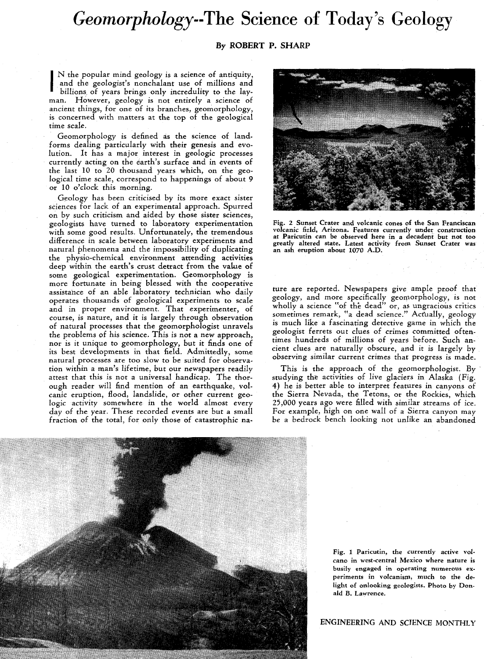## *Geomorphology--The* **Science of Today's Geology**

## **By ROBERT P. SHARP**

I N the popular mind geology is a science of antiquity, and the geologist's nonchalant use of millions and billions, of years brings only incredulity to the layman. However, geology is not entirely a science of ancient things, for one of its branches, geomorphology, is concerned with matters at the top of the geological time scale.

Geomorphology is defined as the science of landforms dealing particularly with their genesis and evolution. It has a major interest in geologic processes currently acting on the earth's surface and in events of the last 10 to 20 thousand years which, on the geological time scale, correspond to happenings of about 9 or 10 o'clock this morning.

Geology has been criticised by its more exact sister sciences for lack of an experimental approach. Spurred on by such criticism and aided by those sister sciences, geologists have turned to laboratory experimentation with some good results. Unfortunately, the tremendous difference in scale between laboratory experiments and natural phenomena and the impossibility of duplicating the physio-chemical environment attending activities deep within the earth's crust detract from the value of some geological experimentation. Geomorphology is more fortunate in being blessed with the cooperative assistance of an able laboratory technician who daily operates thousands of geological experiments to scale and in proper environment. That experimenter, of course, is nature, and it is largely through observation of natural processes that the geomorphologist unravels the problems of his science. This is not a new approach, nor is it unique to geomorphology, but it finds one of its best developments in that field. Admittedly, some natural processes are too slow to be suited for observation within a man's lifetime, but our newspapers readily attest that this is not a universal handicap. The thorough reader will find mention of an earthquake, volcanic eruption, flood, landslide, or other current geologic activity somewhere in the world almost every day of the year. These recorded events are but a small fraction of the total, for only those of catastrophic na-



Fig. 2 Sunset Crater and volcanic cones of the San Franciscan volcanic field, Arizona. Features currently under construction at Paricutin can be observed here in a decadent but not too greatly altered state. Latest activity from Sunset Crater was an ash eruption about 1070 A.D.

ture are reported. Newspapers give ample proof that geology, and more specifically geomorphology, is not wholly a science "of the dead" or, as ungracious critics sometimes remark, "a dead science." Actually, geology is much like a fascinating detective game in which the geologist ferrets out clues of crimes committed oftentimes hundreds of millions of years before. Such ancient clues are naturally obscure, and it is largely by observing similar current crimes that progress is made.

This is the approach of the geomorphologist. By studying the activities of live glaciers in Alaska (Fig. 4) he is better able to interpret features in canyons of the Sierra Nevada, the Tetons, or the Rockies, which 25,000 years ago were filled with similar streams of ice. For example, high on one wall of a Sierra canyon may be a bedrock bench looking not unlike an abandoned



Fig. 1 Paricutin, the currently active vol· cano in west·central Mexico where nature is busily engaged in operating numerous experiments in volcanism, much to the delight of onlooking geologists. Photo by Donald B. Lawrence.

ENGINEERING AND SCIENCE MONTHLY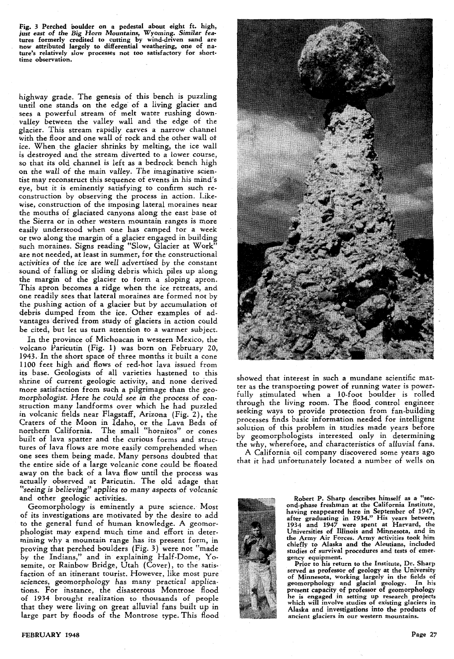Fig. 3 Perched boulder on a pedestal about eight ft. high,<br>just east of the Big Horn Mountains, Wyoming. Similar features formerly credited to cutting by wind-driven sand are<br>now attributed largely to differential weatheri ture's relatively slow processes not too satisfactory for short· time observation.

highway grade. The genesis of this bench is puzzling until one stands on the edge' of a living glacier and sees a powerful stream of melt water rushing down· valley between the valley wall and the edge of the glacier. This stream rapidly carves a narrow channel with the floor and one wall of rock and the other wall ot ice. When the glacier shrinks by melting, the ice wall is destroyed and the stream diverted to a lower course, so that its old channel is left as a bedrock bench high on the wall of the main valley. The imaginative scien· tist may reconstruct this sequence of events in his mind's eye, but it is eminently satisfying to confirm such reconstruction by observing the process in action. Like· wise, construction of the imposing lateral moraines near the mouths of glaciated canyons along the east base ot the Sierra or in other western mountain ranges is more easily understood when one has camped tor a week or two along the margin of a glacier engaged in building such moraines. Signs reading "Slow, Glacier at Work" are not needed, at least in summer, for the constructional activities of the ice are well advertised by the constant sound of falling or sliding debris which piles up along the margin of the glacier to form a sloping apron. This apron becomes a ridge when the ice retreats, and one readily sees that lateral moraines ate formed not by the pushing action of a glacier but by accumulation ot debris dumped from the ice. Other examples of advantages derived from study of glaciers in action could be cited, but let us turn attention to a warmer subject.

In the province of Michoacan in western Mexico, the volcano Paricutin (Fig. l) was born on February 20, 1943. In the short space of three months it built a cone 1100 feet high and flows of red-hot lava issued from its base. Geologists of all varieties hastened to this shrine of current geologic activity, and none derived more satisfaction from such a pilgrimage than the geomorphologist. *Here* he could *see in* the *process* of construction many landforms over which he had puzzled in volcanic fields near Flagstaff, Arizona (Fig. 2), the Craters of the Moon in Idaho, or the Lava Beds of northern California. The small "hornitos" or cones built of lava spatter and the curious forms and struc· tures of lava flows are more easily comprehended when one sees them being made. Many persons doubted that the entire side of a large volcanic cone could be floated away on the back of a lava flow until the process was actually observed at Paricutin. The old adage that *"seeing is believing"* applies to many aspects of *volcanic*  and other geologic activities.

Geomorphology is eminently a pure science. Most of its investigations are motivated by the desire to add to the general fund of human knowledge. A geomorphologist may expend much time and effort in determining why a mountain range has its present form, in proving that perched boulders (Fig. 3) were not "made by the Indians," and in explaining Half.Dome, Yo· semite, or Rainbow Bridge, Utah (Cover), to the satis· faction of an itinerant tourist. However, like most pure sciences, geomorphology has many practical applications. For instance, the disasterous Montrose flood of 1934 brought realization to thousands of people that they were living on great alluvial fans built up in large part by floods of the Montrose type. This flood



showed that interest in such a mundane scientific mat· ter as the transporting power of running water is power. fully stimulated when a lO-foot boulder is rolled through the living room. The flood control engineer seeking ways to provide protection from fan-building processes finds basic information needed for intelligent solution of this problem in studies made years before by geomorphologists interested only in determining the why, wherefore, and characteristics of alluvial fans.

A California oil company discovered some years ago that it had unfortunately located a number of wells on



Robert P. Sharp describes himself as a "second-phase freshman at the California Institute, having reappeared here in September of 1947, after graduating in 1934." His years between 1934 and 1947 were spent at Harvard, the Universities of Illinois and Minnesota, and in the Army Air Forces. Army activities took him chiefly to Alaska and the Aleutians, included studies of survival procedures and tests of emer· gency equipment.

Prior to his return to the Institute, Dr. Sharp served as professor of geology at the University of Minnesota, working largely in the fields of geomorphology and glacial geology. In his present capacity of professor of geonorphology<br>present capacity of professor of geomorphology he is engaged in setting up research projects<br>which will involve studies of existing glaciers in Alaska and investigations into the products of ancient glaciers in our western mountains.